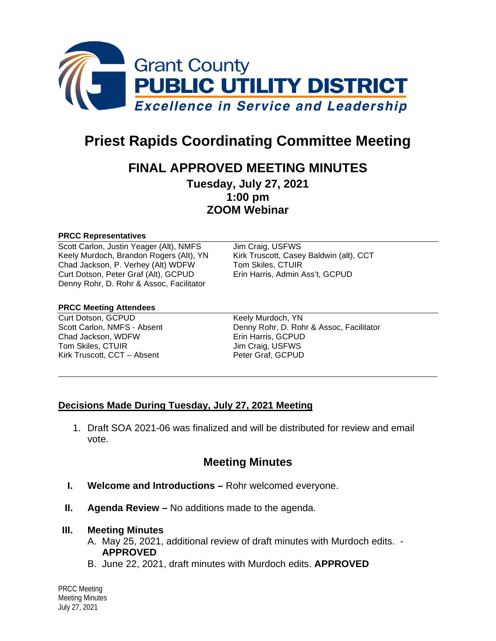

# **Priest Rapids Coordinating Committee Meeting**

## **FINAL APPROVED MEETING MINUTES**

**Tuesday, July 27, 2021 1:00 pm ZOOM Webinar**

#### **PRCC Representatives**

Scott Carlon, Justin Yeager (Alt), NMFS Jim Craig, USFWS Keely Murdoch, Brandon Rogers (Alt), YN Kirk Truscott, Casey Baldwin (alt), CCT Chad Jackson, P. Verhey (Alt) WDFW Tom Skiles, CTUIR<br>Curt Dotson, Peter Graf (Alt), GCPUD Erin Harris, Admin Ass't, GCPUD Curt Dotson, Peter Graf (Alt), GCPUD Denny Rohr, D. Rohr & Assoc, Facilitator

#### **PRCC Meeting Attendees**

Curt Dotson, GCPUD Keely Murdoch, YN Chad Jackson, WDFW Tom Skiles, CTUIR Jim Craig, USFWS Kirk Truscott, CCT – Absent Peter Graf, GCPUD

Scott Carlon, NMFS - Absent Denny Rohr, D. Rohr & Assoc, Facilitator<br>Chad Jackson, WDFW Erin Harris, GCPUD

### **Decisions Made During Tuesday, July 27, 2021 Meeting**

1. Draft SOA 2021-06 was finalized and will be distributed for review and email vote.

## **Meeting Minutes**

- **I. Welcome and Introductions –** Rohr welcomed everyone.
- **II. Agenda Review –** No additions made to the agenda.

#### **III. Meeting Minutes**

- A. May 25, 2021, additional review of draft minutes with Murdoch edits. **APPROVED**
- B. June 22, 2021, draft minutes with Murdoch edits. **APPROVED**

PRCC Meeting Meeting Minutes July 27, 2021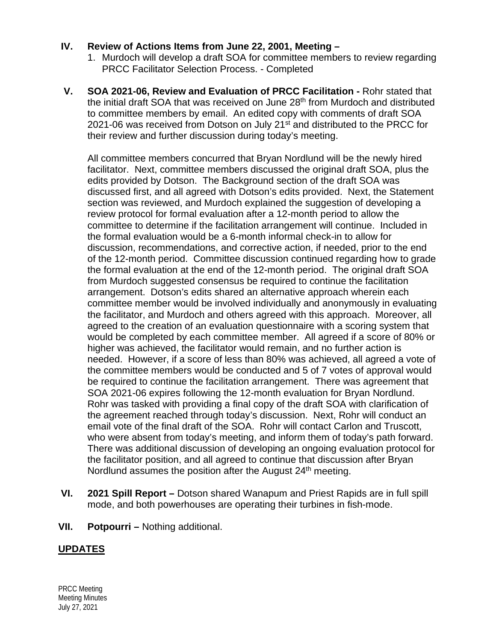## **IV. Review of Actions Items from June 22, 2001, Meeting –**

- 1. Murdoch will develop a draft SOA for committee members to review regarding PRCC Facilitator Selection Process. - Completed
- **V. SOA 2021-06, Review and Evaluation of PRCC Facilitation -** Rohr stated that the initial draft SOA that was received on June 28<sup>th</sup> from Murdoch and distributed to committee members by email. An edited copy with comments of draft SOA 2021-06 was received from Dotson on July 21<sup>st</sup> and distributed to the PRCC for their review and further discussion during today's meeting.

All committee members concurred that Bryan Nordlund will be the newly hired facilitator. Next, committee members discussed the original draft SOA, plus the edits provided by Dotson. The Background section of the draft SOA was discussed first, and all agreed with Dotson's edits provided. Next, the Statement section was reviewed, and Murdoch explained the suggestion of developing a review protocol for formal evaluation after a 12-month period to allow the committee to determine if the facilitation arrangement will continue. Included in the formal evaluation would be a 6-month informal check-in to allow for discussion, recommendations, and corrective action, if needed, prior to the end of the 12-month period. Committee discussion continued regarding how to grade the formal evaluation at the end of the 12-month period. The original draft SOA from Murdoch suggested consensus be required to continue the facilitation arrangement. Dotson's edits shared an alternative approach wherein each committee member would be involved individually and anonymously in evaluating the facilitator, and Murdoch and others agreed with this approach. Moreover, all agreed to the creation of an evaluation questionnaire with a scoring system that would be completed by each committee member. All agreed if a score of 80% or higher was achieved, the facilitator would remain, and no further action is needed. However, if a score of less than 80% was achieved, all agreed a vote of the committee members would be conducted and 5 of 7 votes of approval would be required to continue the facilitation arrangement. There was agreement that SOA 2021-06 expires following the 12-month evaluation for Bryan Nordlund. Rohr was tasked with providing a final copy of the draft SOA with clarification of the agreement reached through today's discussion. Next, Rohr will conduct an email vote of the final draft of the SOA. Rohr will contact Carlon and Truscott, who were absent from today's meeting, and inform them of today's path forward. There was additional discussion of developing an ongoing evaluation protocol for the facilitator position, and all agreed to continue that discussion after Bryan Nordlund assumes the position after the August  $24<sup>th</sup>$  meeting.

- **VI. 2021 Spill Report –** Dotson shared Wanapum and Priest Rapids are in full spill mode, and both powerhouses are operating their turbines in fish-mode.
- **VII. Potpourri –** Nothing additional.

## **UPDATES**

PRCC Meeting Meeting Minutes July 27, 2021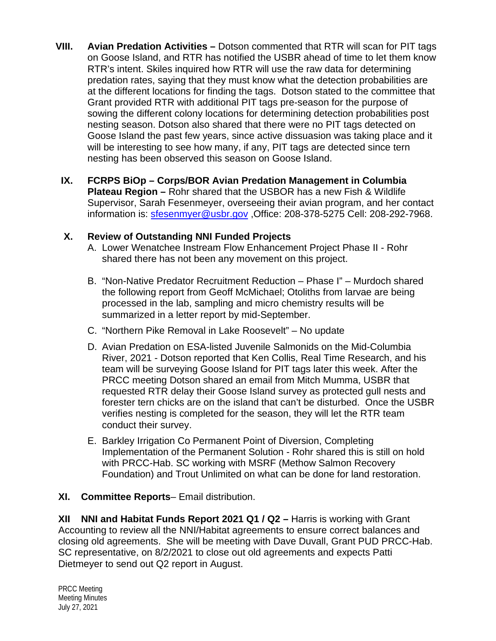- **VIII. Avian Predation Activities –** Dotson commented that RTR will scan for PIT tags on Goose Island, and RTR has notified the USBR ahead of time to let them know RTR's intent. Skiles inquired how RTR will use the raw data for determining predation rates, saying that they must know what the detection probabilities are at the different locations for finding the tags. Dotson stated to the committee that Grant provided RTR with additional PIT tags pre-season for the purpose of sowing the different colony locations for determining detection probabilities post nesting season. Dotson also shared that there were no PIT tags detected on Goose Island the past few years, since active dissuasion was taking place and it will be interesting to see how many, if any, PIT tags are detected since tern nesting has been observed this season on Goose Island.
- **IX. FCRPS BiOp – Corps/BOR Avian Predation Management in Columbia Plateau Region –** Rohr shared that the USBOR has a new Fish & Wildlife Supervisor, Sarah Fesenmeyer, overseeing their avian program, and her contact information is: [sfesenmyer@usbr.gov](mailto:sfesenmyer@usbr.gov) ,Office: 208-378-5275 Cell: 208-292-7968.

## **X. Review of Outstanding NNI Funded Projects**

- A. Lower Wenatchee Instream Flow Enhancement Project Phase II Rohr shared there has not been any movement on this project.
- B. "Non-Native Predator Recruitment Reduction Phase I" Murdoch shared the following report from Geoff McMichael; Otoliths from larvae are being processed in the lab, sampling and micro chemistry results will be summarized in a letter report by mid-September.
- C. "Northern Pike Removal in Lake Roosevelt" No update
- D. Avian Predation on ESA-listed Juvenile Salmonids on the Mid-Columbia River, 2021 - Dotson reported that Ken Collis, Real Time Research, and his team will be surveying Goose Island for PIT tags later this week. After the PRCC meeting Dotson shared an email from Mitch Mumma, USBR that requested RTR delay their Goose Island survey as protected gull nests and forester tern chicks are on the island that can't be disturbed. Once the USBR verifies nesting is completed for the season, they will let the RTR team conduct their survey.
- E. Barkley Irrigation Co Permanent Point of Diversion, Completing Implementation of the Permanent Solution - Rohr shared this is still on hold with PRCC-Hab. SC working with MSRF (Methow Salmon Recovery Foundation) and Trout Unlimited on what can be done for land restoration.

## **XI. Committee Reports**– Email distribution.

**XII NNI and Habitat Funds Report 2021 Q1 / Q2 –** Harris is working with Grant Accounting to review all the NNI/Habitat agreements to ensure correct balances and closing old agreements. She will be meeting with Dave Duvall, Grant PUD PRCC-Hab. SC representative, on 8/2/2021 to close out old agreements and expects Patti Dietmeyer to send out Q2 report in August.